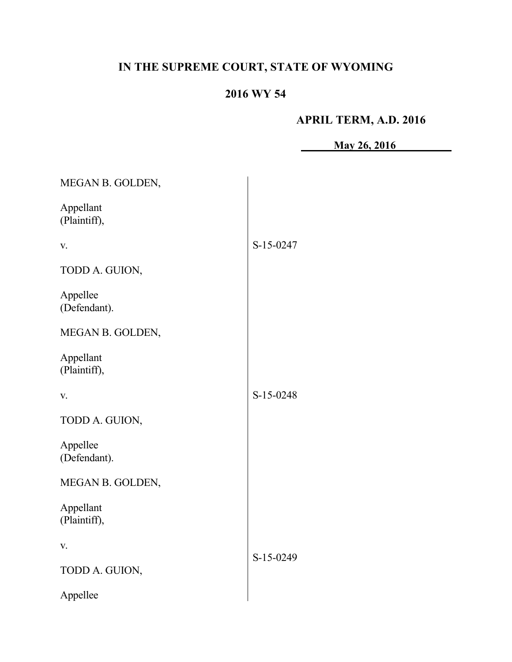# **IN THE SUPREME COURT, STATE OF WYOMING**

## **2016 WY 54**

## **APRIL TERM, A.D. 2016**

**May 26, 2016**

| MEGAN B. GOLDEN,          |           |
|---------------------------|-----------|
| Appellant<br>(Plaintiff), |           |
| V.                        | S-15-0247 |
| TODD A. GUION,            |           |
| Appellee<br>(Defendant).  |           |
| MEGAN B. GOLDEN,          |           |
| Appellant<br>(Plaintiff), |           |
| V.                        | S-15-0248 |
| TODD A. GUION,            |           |
| Appellee<br>(Defendant).  |           |
| MEGAN B. GOLDEN,          |           |
| Appellant<br>(Plaintiff), |           |
| V.                        | S-15-0249 |
| TODD A. GUION,            |           |
| Appellee                  |           |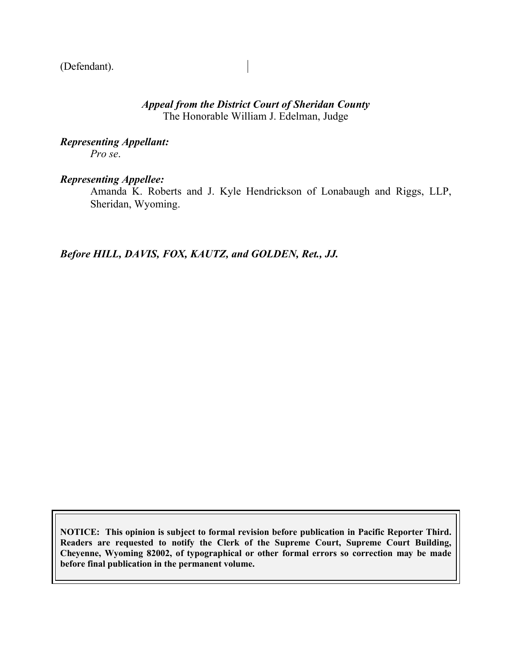(Defendant).

### *Appeal from the District Court of Sheridan County* The Honorable William J. Edelman, Judge

*Representing Appellant: Pro se*.

#### *Representing Appellee:*

Amanda K. Roberts and J. Kyle Hendrickson of Lonabaugh and Riggs, LLP, Sheridan, Wyoming.

*Before HILL, DAVIS, FOX, KAUTZ, and GOLDEN, Ret., JJ.*

**NOTICE: This opinion is subject to formal revision before publication in Pacific Reporter Third. Readers are requested to notify the Clerk of the Supreme Court, Supreme Court Building, Cheyenne, Wyoming 82002, of typographical or other formal errors so correction may be made before final publication in the permanent volume.**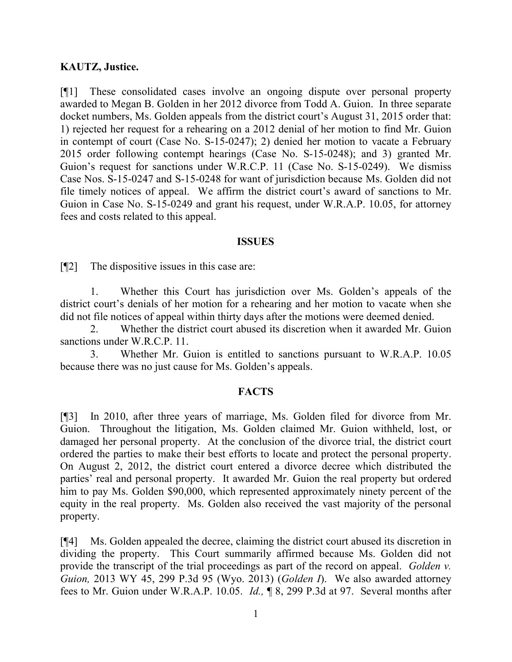#### **KAUTZ, Justice.**

[¶1] These consolidated cases involve an ongoing dispute over personal property awarded to Megan B. Golden in her 2012 divorce from Todd A. Guion. In three separate docket numbers, Ms. Golden appeals from the district court's August 31, 2015 order that: 1) rejected her request for a rehearing on a 2012 denial of her motion to find Mr. Guion in contempt of court (Case No. S-15-0247); 2) denied her motion to vacate a February 2015 order following contempt hearings (Case No. S-15-0248); and 3) granted Mr. Guion's request for sanctions under W.R.C.P. 11 (Case No. S-15-0249). We dismiss Case Nos. S-15-0247 and S-15-0248 for want of jurisdiction because Ms. Golden did not file timely notices of appeal. We affirm the district court's award of sanctions to Mr. Guion in Case No. S-15-0249 and grant his request, under W.R.A.P. 10.05, for attorney fees and costs related to this appeal.

#### **ISSUES**

[¶2] The dispositive issues in this case are:

1. Whether this Court has jurisdiction over Ms. Golden's appeals of the district court's denials of her motion for a rehearing and her motion to vacate when she did not file notices of appeal within thirty days after the motions were deemed denied.

2. Whether the district court abused its discretion when it awarded Mr. Guion sanctions under W.R.C.P. 11.

3. Whether Mr. Guion is entitled to sanctions pursuant to W.R.A.P. 10.05 because there was no just cause for Ms. Golden's appeals.

#### **FACTS**

[¶3] In 2010, after three years of marriage, Ms. Golden filed for divorce from Mr. Guion. Throughout the litigation, Ms. Golden claimed Mr. Guion withheld, lost, or damaged her personal property. At the conclusion of the divorce trial, the district court ordered the parties to make their best efforts to locate and protect the personal property. On August 2, 2012, the district court entered a divorce decree which distributed the parties' real and personal property. It awarded Mr. Guion the real property but ordered him to pay Ms. Golden \$90,000, which represented approximately ninety percent of the equity in the real property. Ms. Golden also received the vast majority of the personal property.

[¶4] Ms. Golden appealed the decree, claiming the district court abused its discretion in dividing the property. This Court summarily affirmed because Ms. Golden did not provide the transcript of the trial proceedings as part of the record on appeal. *Golden v. Guion,* 2013 WY 45, 299 P.3d 95 (Wyo. 2013) (*Golden I*). We also awarded attorney fees to Mr. Guion under W.R.A.P. 10.05. *Id.,* ¶ 8, 299 P.3d at 97. Several months after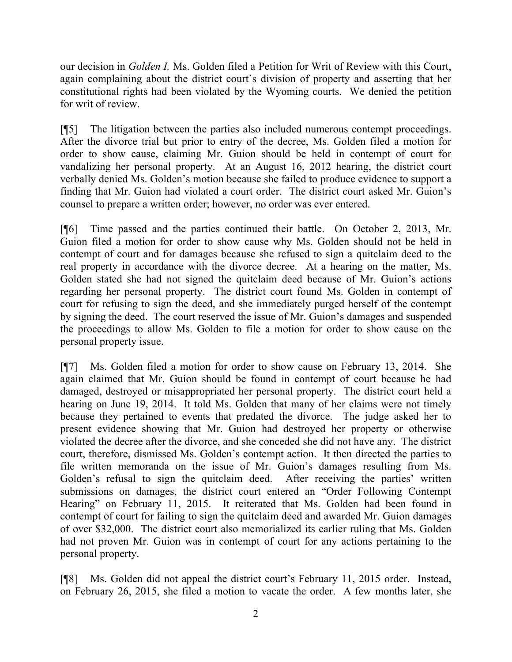our decision in *Golden I,* Ms. Golden filed a Petition for Writ of Review with this Court, again complaining about the district court's division of property and asserting that her constitutional rights had been violated by the Wyoming courts. We denied the petition for writ of review.

[¶5] The litigation between the parties also included numerous contempt proceedings. After the divorce trial but prior to entry of the decree, Ms. Golden filed a motion for order to show cause, claiming Mr. Guion should be held in contempt of court for vandalizing her personal property. At an August 16, 2012 hearing, the district court verbally denied Ms. Golden's motion because she failed to produce evidence to support a finding that Mr. Guion had violated a court order. The district court asked Mr. Guion's counsel to prepare a written order; however, no order was ever entered.

[¶6] Time passed and the parties continued their battle. On October 2, 2013, Mr. Guion filed a motion for order to show cause why Ms. Golden should not be held in contempt of court and for damages because she refused to sign a quitclaim deed to the real property in accordance with the divorce decree. At a hearing on the matter, Ms. Golden stated she had not signed the quitclaim deed because of Mr. Guion's actions regarding her personal property. The district court found Ms. Golden in contempt of court for refusing to sign the deed, and she immediately purged herself of the contempt by signing the deed. The court reserved the issue of Mr. Guion's damages and suspended the proceedings to allow Ms. Golden to file a motion for order to show cause on the personal property issue.

[¶7] Ms. Golden filed a motion for order to show cause on February 13, 2014. She again claimed that Mr. Guion should be found in contempt of court because he had damaged, destroyed or misappropriated her personal property. The district court held a hearing on June 19, 2014. It told Ms. Golden that many of her claims were not timely because they pertained to events that predated the divorce. The judge asked her to present evidence showing that Mr. Guion had destroyed her property or otherwise violated the decree after the divorce, and she conceded she did not have any. The district court, therefore, dismissed Ms. Golden's contempt action. It then directed the parties to file written memoranda on the issue of Mr. Guion's damages resulting from Ms. Golden's refusal to sign the quitclaim deed. After receiving the parties' written submissions on damages, the district court entered an "Order Following Contempt Hearing" on February 11, 2015. It reiterated that Ms. Golden had been found in contempt of court for failing to sign the quitclaim deed and awarded Mr. Guion damages of over \$32,000. The district court also memorialized its earlier ruling that Ms. Golden had not proven Mr. Guion was in contempt of court for any actions pertaining to the personal property.

[¶8] Ms. Golden did not appeal the district court's February 11, 2015 order. Instead, on February 26, 2015, she filed a motion to vacate the order. A few months later, she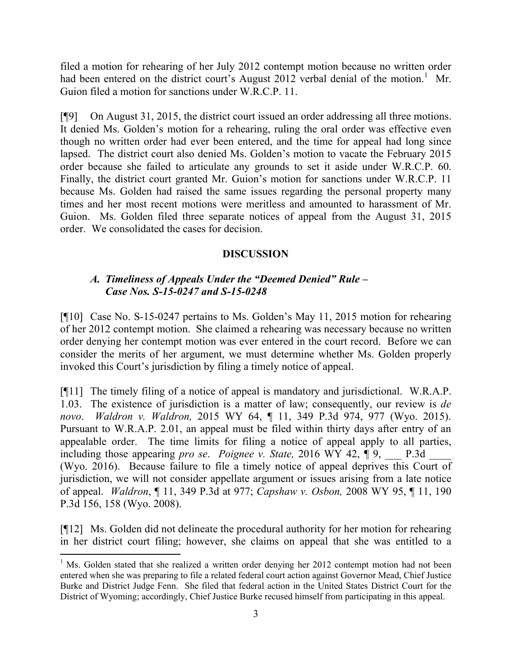filed a motion for rehearing of her July 2012 contempt motion because no written order had been entered on the district court's August 2012 verbal denial of the motion.<sup>1</sup> Mr. Guion filed a motion for sanctions under W.R.C.P. 11.

[¶9] On August 31, 2015, the district court issued an order addressing all three motions. It denied Ms. Golden's motion for a rehearing, ruling the oral order was effective even though no written order had ever been entered, and the time for appeal had long since lapsed. The district court also denied Ms. Golden's motion to vacate the February 2015 order because she failed to articulate any grounds to set it aside under W.R.C.P. 60. Finally, the district court granted Mr. Guion's motion for sanctions under W.R.C.P. 11 because Ms. Golden had raised the same issues regarding the personal property many times and her most recent motions were meritless and amounted to harassment of Mr. Guion. Ms. Golden filed three separate notices of appeal from the August 31, 2015 order. We consolidated the cases for decision.

## **DISCUSSION**

## *A. Timeliness of Appeals Under the "Deemed Denied" Rule – Case Nos. S-15-0247 and S-15-0248*

[¶10] Case No. S-15-0247 pertains to Ms. Golden's May 11, 2015 motion for rehearing of her 2012 contempt motion. She claimed a rehearing was necessary because no written order denying her contempt motion was ever entered in the court record. Before we can consider the merits of her argument, we must determine whether Ms. Golden properly invoked this Court's jurisdiction by filing a timely notice of appeal.

[¶11] The timely filing of a notice of appeal is mandatory and jurisdictional. W.R.A.P. 1.03. The existence of jurisdiction is a matter of law; consequently, our review is *de novo*. *Waldron v. Waldron,* 2015 WY 64, ¶ 11, 349 P.3d 974, 977 (Wyo. 2015). Pursuant to W.R.A.P. 2.01, an appeal must be filed within thirty days after entry of an appealable order. The time limits for filing a notice of appeal apply to all parties, including those appearing *pro se. Poignee v. State,* 2016 WY 42,  $\P$ 9, \_\_\_\_ P.3d (Wyo. 2016). Because failure to file a timely notice of appeal deprives this Court of jurisdiction, we will not consider appellate argument or issues arising from a late notice of appeal. *Waldron*, ¶ 11, 349 P.3d at 977; *Capshaw v. Osbon,* 2008 WY 95, ¶ 11, 190 P.3d 156, 158 (Wyo. 2008).

[¶12] Ms. Golden did not delineate the procedural authority for her motion for rehearing in her district court filing; however, she claims on appeal that she was entitled to a

l

 $<sup>1</sup>$  Ms. Golden stated that she realized a written order denying her 2012 contempt motion had not been</sup> entered when she was preparing to file a related federal court action against Governor Mead, Chief Justice Burke and District Judge Fenn. She filed that federal action in the United States District Court for the District of Wyoming; accordingly, Chief Justice Burke recused himself from participating in this appeal.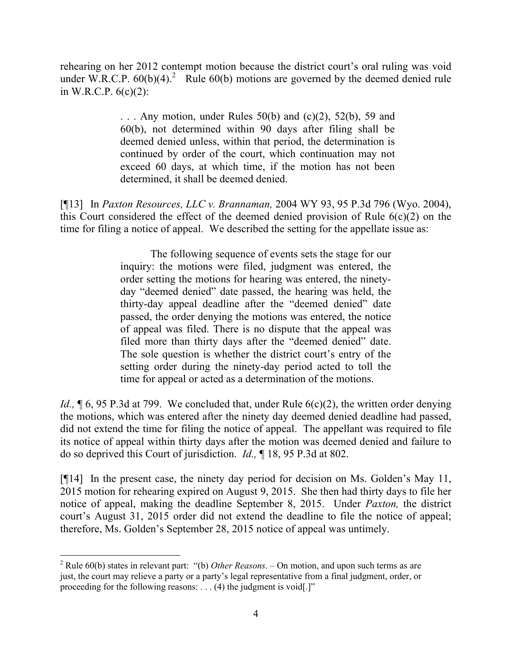rehearing on her 2012 contempt motion because the district court's oral ruling was void under W.R.C.P.  $60(b)(4)$ .<sup>2</sup> Rule  $60(b)$  motions are governed by the deemed denied rule in W.R.C.P.  $6(c)(2)$ :

> ... Any motion, under Rules  $50(b)$  and  $(c)(2)$ ,  $52(b)$ ,  $59$  and 60(b), not determined within 90 days after filing shall be deemed denied unless, within that period, the determination is continued by order of the court, which continuation may not exceed 60 days, at which time, if the motion has not been determined, it shall be deemed denied.

[¶13] In *Paxton Resources, LLC v. Brannaman,* 2004 WY 93, 95 P.3d 796 (Wyo. 2004), this Court considered the effect of the deemed denied provision of Rule 6(c)(2) on the time for filing a notice of appeal. We described the setting for the appellate issue as:

> The following sequence of events sets the stage for our inquiry: the motions were filed, judgment was entered, the order setting the motions for hearing was entered, the ninetyday "deemed denied" date passed, the hearing was held, the thirty-day appeal deadline after the "deemed denied" date passed, the order denying the motions was entered, the notice of appeal was filed. There is no dispute that the appeal was filed more than thirty days after the "deemed denied" date. The sole question is whether the district court's entry of the setting order during the ninety-day period acted to toll the time for appeal or acted as a determination of the motions.

*Id.*, **[6, 95 P.3d at 799.** We concluded that, under Rule 6(c)(2), the written order denying the motions, which was entered after the ninety day deemed denied deadline had passed, did not extend the time for filing the notice of appeal. The appellant was required to file its notice of appeal within thirty days after the motion was deemed denied and failure to do so deprived this Court of jurisdiction. *Id.,* ¶ 18, 95 P.3d at 802.

[¶14] In the present case, the ninety day period for decision on Ms. Golden's May 11, 2015 motion for rehearing expired on August 9, 2015. She then had thirty days to file her notice of appeal, making the deadline September 8, 2015. Under *Paxton,* the district court's August 31, 2015 order did not extend the deadline to file the notice of appeal; therefore, Ms. Golden's September 28, 2015 notice of appeal was untimely.

l

<sup>2</sup> Rule 60(b) states in relevant part: "(b) *Other Reasons*. – On motion, and upon such terms as are just, the court may relieve a party or a party's legal representative from a final judgment, order, or proceeding for the following reasons: . . . (4) the judgment is void[.]"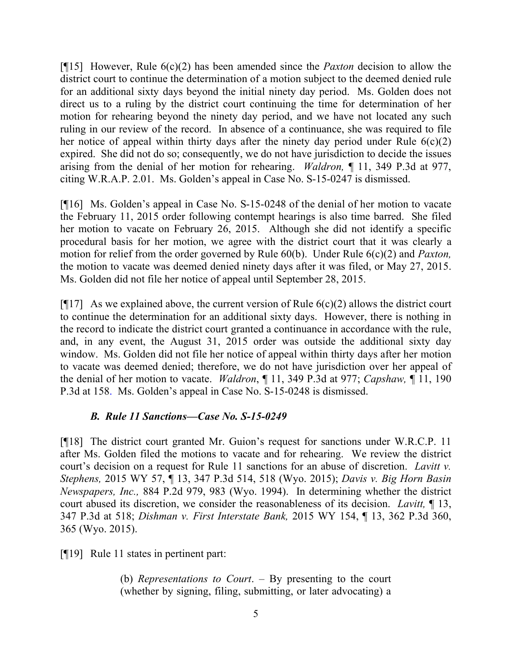[¶15] However, Rule 6(c)(2) has been amended since the *Paxton* decision to allow the district court to continue the determination of a motion subject to the deemed denied rule for an additional sixty days beyond the initial ninety day period. Ms. Golden does not direct us to a ruling by the district court continuing the time for determination of her motion for rehearing beyond the ninety day period, and we have not located any such ruling in our review of the record. In absence of a continuance, she was required to file her notice of appeal within thirty days after the ninety day period under Rule  $6(c)(2)$ expired. She did not do so; consequently, we do not have jurisdiction to decide the issues arising from the denial of her motion for rehearing. *Waldron,* ¶ 11, 349 P.3d at 977, citing W.R.A.P. 2.01. Ms. Golden's appeal in Case No. S-15-0247 is dismissed.

[¶16] Ms. Golden's appeal in Case No. S-15-0248 of the denial of her motion to vacate the February 11, 2015 order following contempt hearings is also time barred. She filed her motion to vacate on February 26, 2015. Although she did not identify a specific procedural basis for her motion, we agree with the district court that it was clearly a motion for relief from the order governed by Rule 60(b). Under Rule 6(c)(2) and *Paxton,*  the motion to vacate was deemed denied ninety days after it was filed, or May 27, 2015. Ms. Golden did not file her notice of appeal until September 28, 2015.

[ $[17]$ ] As we explained above, the current version of Rule  $6(c)(2)$  allows the district court to continue the determination for an additional sixty days. However, there is nothing in the record to indicate the district court granted a continuance in accordance with the rule, and, in any event, the August 31, 2015 order was outside the additional sixty day window. Ms. Golden did not file her notice of appeal within thirty days after her motion to vacate was deemed denied; therefore, we do not have jurisdiction over her appeal of the denial of her motion to vacate. *Waldron*, ¶ 11, 349 P.3d at 977; *Capshaw,* ¶ 11, 190 P.3d at 158. Ms. Golden's appeal in Case No. S-15-0248 is dismissed.

## *B. Rule 11 Sanctions—Case No. S-15-0249*

[¶18] The district court granted Mr. Guion's request for sanctions under W.R.C.P. 11 after Ms. Golden filed the motions to vacate and for rehearing. We review the district court's decision on a request for Rule 11 sanctions for an abuse of discretion. *Lavitt v. Stephens,* 2015 WY 57, ¶ 13, 347 P.3d 514, 518 (Wyo. 2015); *Davis v. Big Horn Basin Newspapers, Inc.,* 884 P.2d 979, 983 (Wyo. 1994). In determining whether the district court abused its discretion, we consider the reasonableness of its decision. *Lavitt,* ¶ 13, 347 P.3d at 518; *Dishman v. First Interstate Bank,* 2015 WY 154, ¶ 13, 362 P.3d 360, 365 (Wyo. 2015).

[¶19] Rule 11 states in pertinent part:

(b) *Representations to Court*. – By presenting to the court (whether by signing, filing, submitting, or later advocating) a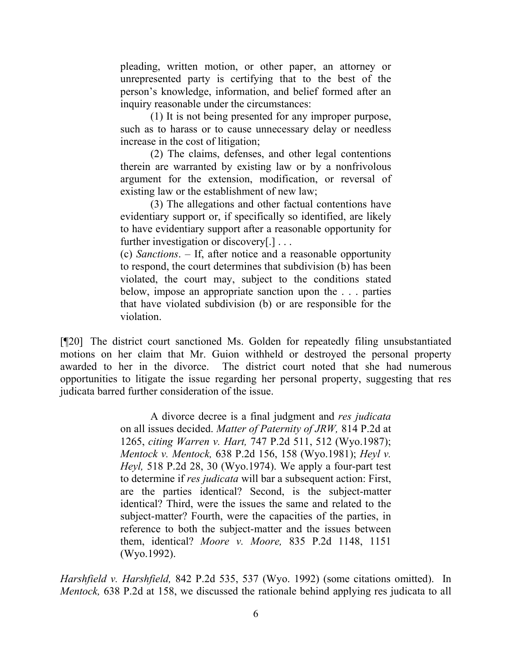pleading, written motion, or other paper, an attorney or unrepresented party is certifying that to the best of the person's knowledge, information, and belief formed after an inquiry reasonable under the circumstances:

(1) It is not being presented for any improper purpose, such as to harass or to cause unnecessary delay or needless increase in the cost of litigation;

(2) The claims, defenses, and other legal contentions therein are warranted by existing law or by a nonfrivolous argument for the extension, modification, or reversal of existing law or the establishment of new law;

(3) The allegations and other factual contentions have evidentiary support or, if specifically so identified, are likely to have evidentiary support after a reasonable opportunity for further investigation or discovery[.]...

(c) *Sanctions*. – If, after notice and a reasonable opportunity to respond, the court determines that subdivision (b) has been violated, the court may, subject to the conditions stated below, impose an appropriate sanction upon the . . . parties that have violated subdivision (b) or are responsible for the violation.

[¶20] The district court sanctioned Ms. Golden for repeatedly filing unsubstantiated motions on her claim that Mr. Guion withheld or destroyed the personal property awarded to her in the divorce. The district court noted that she had numerous opportunities to litigate the issue regarding her personal property, suggesting that res judicata barred further consideration of the issue.

> A divorce decree is a final judgment and *res judicata* on all issues decided. *Matter of Paternity of JRW,* 814 P.2d at 1265, *citing Warren v. Hart,* 747 P.2d 511, 512 (Wyo.1987); *Mentock v. Mentock,* 638 P.2d 156, 158 (Wyo.1981); *Heyl v. Heyl,* 518 P.2d 28, 30 (Wyo.1974). We apply a four-part test to determine if *res judicata* will bar a subsequent action: First, are the parties identical? Second, is the subject-matter identical? Third, were the issues the same and related to the subject-matter? Fourth, were the capacities of the parties, in reference to both the subject-matter and the issues between them, identical? *Moore v. Moore,* 835 P.2d 1148, 1151 (Wyo.1992).

*Harshfield v. Harshfield,* 842 P.2d 535, 537 (Wyo. 1992) (some citations omitted). In *Mentock,* 638 P.2d at 158, we discussed the rationale behind applying res judicata to all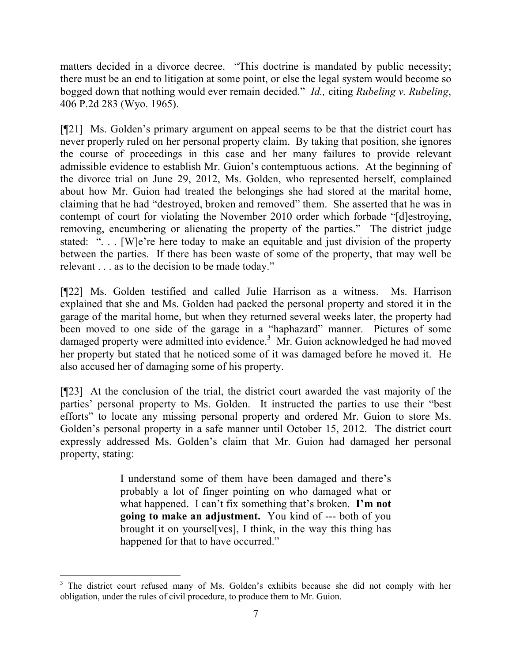matters decided in a divorce decree. "This doctrine is mandated by public necessity; there must be an end to litigation at some point, or else the legal system would become so bogged down that nothing would ever remain decided." *Id.,* citing *Rubeling v. Rubeling*, 406 P.2d 283 (Wyo. 1965).

[¶21] Ms. Golden's primary argument on appeal seems to be that the district court has never properly ruled on her personal property claim. By taking that position, she ignores the course of proceedings in this case and her many failures to provide relevant admissible evidence to establish Mr. Guion's contemptuous actions. At the beginning of the divorce trial on June 29, 2012, Ms. Golden, who represented herself, complained about how Mr. Guion had treated the belongings she had stored at the marital home, claiming that he had "destroyed, broken and removed" them. She asserted that he was in contempt of court for violating the November 2010 order which forbade "[d]estroying, removing, encumbering or alienating the property of the parties." The district judge stated: "... [W]e're here today to make an equitable and just division of the property between the parties. If there has been waste of some of the property, that may well be relevant . . . as to the decision to be made today."

[¶22] Ms. Golden testified and called Julie Harrison as a witness. Ms. Harrison explained that she and Ms. Golden had packed the personal property and stored it in the garage of the marital home, but when they returned several weeks later, the property had been moved to one side of the garage in a "haphazard" manner. Pictures of some damaged property were admitted into evidence.<sup>3</sup> Mr. Guion acknowledged he had moved her property but stated that he noticed some of it was damaged before he moved it. He also accused her of damaging some of his property.

[¶23] At the conclusion of the trial, the district court awarded the vast majority of the parties' personal property to Ms. Golden. It instructed the parties to use their "best efforts" to locate any missing personal property and ordered Mr. Guion to store Ms. Golden's personal property in a safe manner until October 15, 2012. The district court expressly addressed Ms. Golden's claim that Mr. Guion had damaged her personal property, stating:

> I understand some of them have been damaged and there's probably a lot of finger pointing on who damaged what or what happened. I can't fix something that's broken. **I'm not going to make an adjustment.** You kind of --- both of you brought it on yoursel[ves], I think, in the way this thing has happened for that to have occurred."

<sup>&</sup>lt;sup>3</sup> The district court refused many of Ms. Golden's exhibits because she did not comply with her obligation, under the rules of civil procedure, to produce them to Mr. Guion.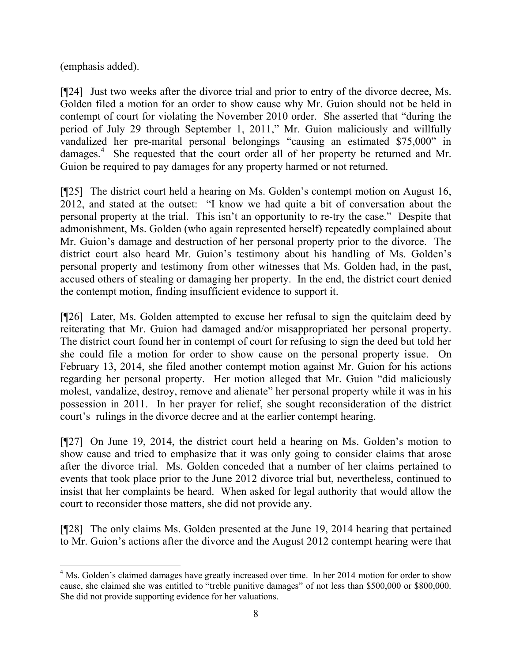(emphasis added).

l

[¶24] Just two weeks after the divorce trial and prior to entry of the divorce decree, Ms. Golden filed a motion for an order to show cause why Mr. Guion should not be held in contempt of court for violating the November 2010 order. She asserted that "during the period of July 29 through September 1, 2011," Mr. Guion maliciously and willfully vandalized her pre-marital personal belongings "causing an estimated \$75,000" in damages.<sup>4</sup> She requested that the court order all of her property be returned and Mr. Guion be required to pay damages for any property harmed or not returned.

[¶25] The district court held a hearing on Ms. Golden's contempt motion on August 16, 2012, and stated at the outset: "I know we had quite a bit of conversation about the personal property at the trial. This isn't an opportunity to re-try the case." Despite that admonishment, Ms. Golden (who again represented herself) repeatedly complained about Mr. Guion's damage and destruction of her personal property prior to the divorce. The district court also heard Mr. Guion's testimony about his handling of Ms. Golden's personal property and testimony from other witnesses that Ms. Golden had, in the past, accused others of stealing or damaging her property. In the end, the district court denied the contempt motion, finding insufficient evidence to support it.

[¶26] Later, Ms. Golden attempted to excuse her refusal to sign the quitclaim deed by reiterating that Mr. Guion had damaged and/or misappropriated her personal property. The district court found her in contempt of court for refusing to sign the deed but told her she could file a motion for order to show cause on the personal property issue. On February 13, 2014, she filed another contempt motion against Mr. Guion for his actions regarding her personal property. Her motion alleged that Mr. Guion "did maliciously molest, vandalize, destroy, remove and alienate" her personal property while it was in his possession in 2011. In her prayer for relief, she sought reconsideration of the district court's rulings in the divorce decree and at the earlier contempt hearing.

[¶27] On June 19, 2014, the district court held a hearing on Ms. Golden's motion to show cause and tried to emphasize that it was only going to consider claims that arose after the divorce trial. Ms. Golden conceded that a number of her claims pertained to events that took place prior to the June 2012 divorce trial but, nevertheless, continued to insist that her complaints be heard. When asked for legal authority that would allow the court to reconsider those matters, she did not provide any.

[¶28] The only claims Ms. Golden presented at the June 19, 2014 hearing that pertained to Mr. Guion's actions after the divorce and the August 2012 contempt hearing were that

<sup>&</sup>lt;sup>4</sup> Ms. Golden's claimed damages have greatly increased over time. In her 2014 motion for order to show cause, she claimed she was entitled to "treble punitive damages" of not less than \$500,000 or \$800,000. She did not provide supporting evidence for her valuations.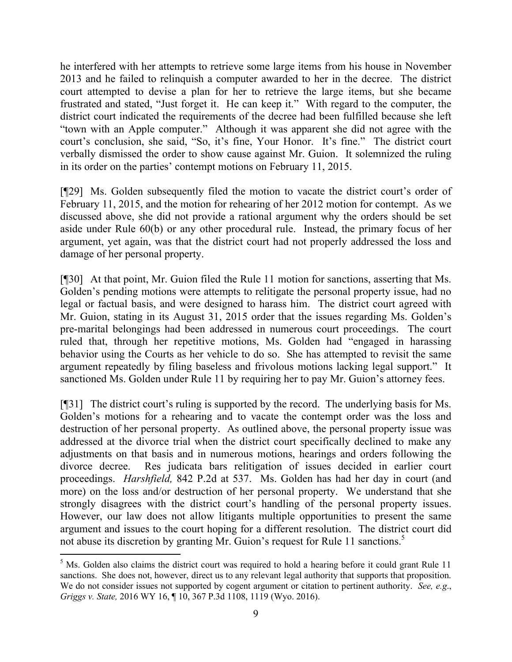he interfered with her attempts to retrieve some large items from his house in November 2013 and he failed to relinquish a computer awarded to her in the decree. The district court attempted to devise a plan for her to retrieve the large items, but she became frustrated and stated, "Just forget it. He can keep it." With regard to the computer, the district court indicated the requirements of the decree had been fulfilled because she left "town with an Apple computer." Although it was apparent she did not agree with the court's conclusion, she said, "So, it's fine, Your Honor. It's fine." The district court verbally dismissed the order to show cause against Mr. Guion. It solemnized the ruling in its order on the parties' contempt motions on February 11, 2015.

[¶29] Ms. Golden subsequently filed the motion to vacate the district court's order of February 11, 2015, and the motion for rehearing of her 2012 motion for contempt. As we discussed above, she did not provide a rational argument why the orders should be set aside under Rule 60(b) or any other procedural rule. Instead, the primary focus of her argument, yet again, was that the district court had not properly addressed the loss and damage of her personal property.

[¶30] At that point, Mr. Guion filed the Rule 11 motion for sanctions, asserting that Ms. Golden's pending motions were attempts to relitigate the personal property issue, had no legal or factual basis, and were designed to harass him. The district court agreed with Mr. Guion, stating in its August 31, 2015 order that the issues regarding Ms. Golden's pre-marital belongings had been addressed in numerous court proceedings. The court ruled that, through her repetitive motions, Ms. Golden had "engaged in harassing behavior using the Courts as her vehicle to do so. She has attempted to revisit the same argument repeatedly by filing baseless and frivolous motions lacking legal support." It sanctioned Ms. Golden under Rule 11 by requiring her to pay Mr. Guion's attorney fees.

[¶31] The district court's ruling is supported by the record. The underlying basis for Ms. Golden's motions for a rehearing and to vacate the contempt order was the loss and destruction of her personal property. As outlined above, the personal property issue was addressed at the divorce trial when the district court specifically declined to make any adjustments on that basis and in numerous motions, hearings and orders following the divorce decree. Res judicata bars relitigation of issues decided in earlier court proceedings. *Harshfield,* 842 P.2d at 537. Ms. Golden has had her day in court (and more) on the loss and/or destruction of her personal property. We understand that she strongly disagrees with the district court's handling of the personal property issues. However, our law does not allow litigants multiple opportunities to present the same argument and issues to the court hoping for a different resolution. The district court did not abuse its discretion by granting Mr. Guion's request for Rule 11 sanctions.<sup>5</sup>

l

 $<sup>5</sup>$  Ms. Golden also claims the district court was required to hold a hearing before it could grant Rule 11</sup> sanctions. She does not, however, direct us to any relevant legal authority that supports that proposition. We do not consider issues not supported by cogent argument or citation to pertinent authority. *See, e.g*., *Griggs v. State,* 2016 WY 16, ¶ 10, 367 P.3d 1108, 1119 (Wyo. 2016).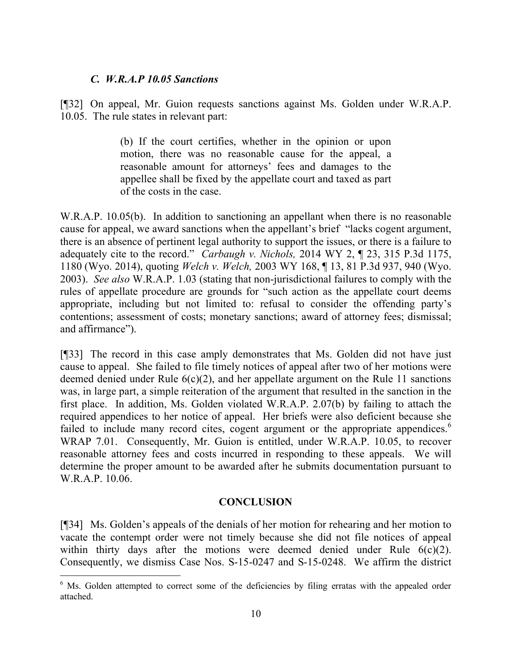### *C. W.R.A.P 10.05 Sanctions*

[¶32] On appeal, Mr. Guion requests sanctions against Ms. Golden under W.R.A.P. 10.05. The rule states in relevant part:

> (b) If the court certifies, whether in the opinion or upon motion, there was no reasonable cause for the appeal, a reasonable amount for attorneys' fees and damages to the appellee shall be fixed by the appellate court and taxed as part of the costs in the case.

W.R.A.P. 10.05(b). In addition to sanctioning an appellant when there is no reasonable cause for appeal, we award sanctions when the appellant's brief "lacks cogent argument, there is an absence of pertinent legal authority to support the issues, or there is a failure to adequately cite to the record." *Carbaugh v. Nichols,* 2014 WY 2, ¶ 23, 315 P.3d 1175, 1180 (Wyo. 2014), quoting *Welch v. Welch,* 2003 WY 168, ¶ 13, 81 P.3d 937, 940 (Wyo. 2003). *See also* W.R.A.P. 1.03 (stating that non-jurisdictional failures to comply with the rules of appellate procedure are grounds for "such action as the appellate court deems appropriate, including but not limited to: refusal to consider the offending party's contentions; assessment of costs; monetary sanctions; award of attorney fees; dismissal; and affirmance").

[¶33] The record in this case amply demonstrates that Ms. Golden did not have just cause to appeal. She failed to file timely notices of appeal after two of her motions were deemed denied under Rule  $6(c)(2)$ , and her appellate argument on the Rule 11 sanctions was, in large part, a simple reiteration of the argument that resulted in the sanction in the first place. In addition, Ms. Golden violated W.R.A.P. 2.07(b) by failing to attach the required appendices to her notice of appeal. Her briefs were also deficient because she failed to include many record cites, cogent argument or the appropriate appendices.<sup>6</sup> WRAP 7.01. Consequently, Mr. Guion is entitled, under W.R.A.P. 10.05, to recover reasonable attorney fees and costs incurred in responding to these appeals. We will determine the proper amount to be awarded after he submits documentation pursuant to W.R.A.P. 10.06.

## **CONCLUSION**

[¶34] Ms. Golden's appeals of the denials of her motion for rehearing and her motion to vacate the contempt order were not timely because she did not file notices of appeal within thirty days after the motions were deemed denied under Rule  $6(c)(2)$ . Consequently, we dismiss Case Nos. S-15-0247 and S-15-0248. We affirm the district

 $6$  Ms. Golden attempted to correct some of the deficiencies by filing erratas with the appealed order attached.